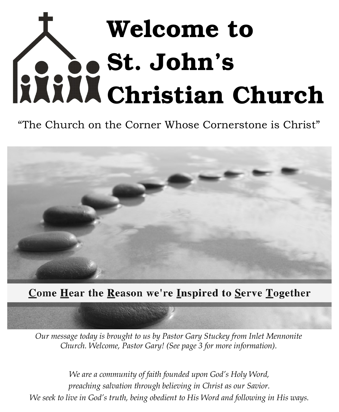# Welcome to St. John's Christian Church

"The Church on the Corner Whose Cornerstone is Christ"



## <u>Come Hear the Reason we're Inspired to Serve Together</u>

*Our message today is brought to us by Pastor Gary Stuckey from Inlet Mennonite Church. Welcome, Pastor Gary! (See page 3 for more information).* 

*We are a community of faith founded upon God's Holy Word, preaching salvation through believing in Christ as our Savior. We seek to live in God's truth, being obedient to His Word and following in His ways.*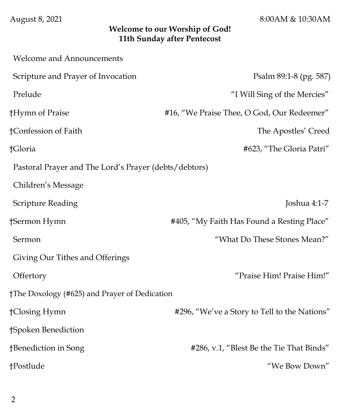August 8, 2021 8:00AM & 10:30AM

#### **Welcome to our Worship of God! 11th Sunday after Pentecost**

| <b>Welcome and Announcements</b>                      |                                              |
|-------------------------------------------------------|----------------------------------------------|
| Scripture and Prayer of Invocation                    | Psalm 89:1-8 (pg. 587)                       |
| Prelude                                               | "I Will Sing of the Mercies"                 |
| †Hymn of Praise                                       | #16, "We Praise Thee, O God, Our Redeemer"   |
| †Confession of Faith                                  | The Apostles' Creed                          |
| †Gloria                                               | #623, "The Gloria Patri"                     |
| Pastoral Prayer and The Lord's Prayer (debts/debtors) |                                              |
| Children's Message                                    |                                              |
| Scripture Reading                                     | Joshua 4:1-7                                 |
| †Sermon Hymn                                          | #405, "My Faith Has Found a Resting Place"   |
| Sermon                                                | "What Do These Stones Mean?"                 |
| Giving Our Tithes and Offerings                       |                                              |
| Offertory                                             | "Praise Him! Praise Him!"                    |
| †The Doxology (#625) and Prayer of Dedication         |                                              |
| †Closing Hymn                                         | #296, "We've a Story to Tell to the Nations" |
| †Spoken Benediction                                   |                                              |
| †Benediction in Song                                  | #286, v.1, "Blest Be the Tie That Binds"     |
| †Postlude                                             | "We Bow Down"                                |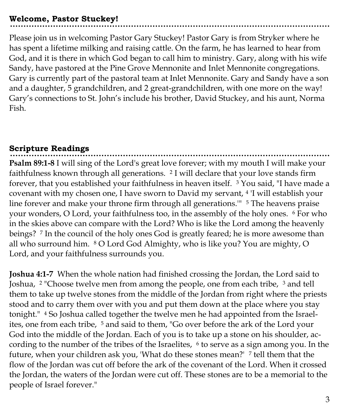#### **Welcome, Pastor Stuckey!**

Please join us in welcoming Pastor Gary Stuckey! Pastor Gary is from Stryker where he has spent a lifetime milking and raising cattle. On the farm, he has learned to hear from God, and it is there in which God began to call him to ministry. Gary, along with his wife Sandy, have pastored at the Pine Grove Mennonite and Inlet Mennonite congregations. Gary is currently part of the pastoral team at Inlet Mennonite. Gary and Sandy have a son and a daughter, 5 grandchildren, and 2 great-grandchildren, with one more on the way! Gary's connections to St. John's include his brother, David Stuckey, and his aunt, Norma Fish.

## **Scripture Readings**

**Psalm 89:1-8** I will sing of the Lord's great love forever; with my mouth I will make your faithfulness known through all generations. <sup>2</sup> I will declare that your love stands firm forever, that you established your faithfulness in heaven itself. <sup>3</sup> You said, "I have made a covenant with my chosen one, I have sworn to David my servant, <sup>4</sup> 'I will establish your line forever and make your throne firm through all generations." <sup>5</sup> The heavens praise your wonders, O Lord, your faithfulness too, in the assembly of the holy ones. <sup>6</sup> For who in the skies above can compare with the Lord? Who is like the Lord among the heavenly beings? <sup>7</sup> In the council of the holy ones God is greatly feared; he is more awesome than all who surround him. <sup>8</sup> O Lord God Almighty, who is like you? You are mighty, O Lord, and your faithfulness surrounds you.

**Joshua 4:1-7** When the whole nation had finished crossing the Jordan, the Lord said to Joshua, <sup>2</sup> "Choose twelve men from among the people, one from each tribe, <sup>3</sup> and tell them to take up twelve stones from the middle of the Jordan from right where the priests stood and to carry them over with you and put them down at the place where you stay tonight." <sup>4</sup> So Joshua called together the twelve men he had appointed from the Israelites, one from each tribe, <sup>5</sup> and said to them, "Go over before the ark of the Lord your God into the middle of the Jordan. Each of you is to take up a stone on his shoulder, according to the number of the tribes of the Israelites,  $6$  to serve as a sign among you. In the future, when your children ask you, 'What do these stones mean?' <sup>7</sup> tell them that the flow of the Jordan was cut off before the ark of the covenant of the Lord. When it crossed the Jordan, the waters of the Jordan were cut off. These stones are to be a memorial to the people of Israel forever."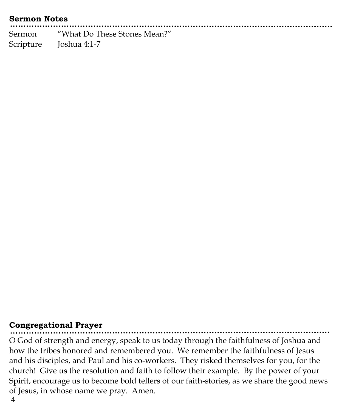#### **Sermon Notes**

Sermon "What Do These Stones Mean?" Scripture Joshua 4:1-7

#### **Congregational Prayer**

O God of strength and energy, speak to us today through the faithfulness of Joshua and how the tribes honored and remembered you. We remember the faithfulness of Jesus and his disciples, and Paul and his co-workers. They risked themselves for you, for the church! Give us the resolution and faith to follow their example. By the power of your Spirit, encourage us to become bold tellers of our faith-stories, as we share the good news of Jesus, in whose name we pray. Amen.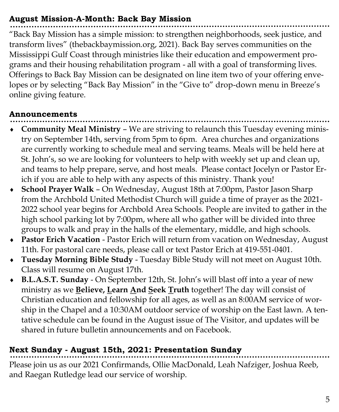## **August Mission-A-Month: Back Bay Mission**

"Back Bay Mission has a simple mission: to strengthen neighborhoods, seek justice, and transform lives" (thebackbaymission.org, 2021). Back Bay serves communities on the Mississippi Gulf Coast through ministries like their education and empowerment programs and their housing rehabilitation program - all with a goal of transforming lives. Offerings to Back Bay Mission can be designated on line item two of your offering envelopes or by selecting "Back Bay Mission" in the "Give to" drop-down menu in Breeze's online giving feature.

## **Announcements**

- **Community Meal Ministry**  We are striving to relaunch this Tuesday evening ministry on September 14th, serving from 5pm to 6pm. Area churches and organizations are currently working to schedule meal and serving teams. Meals will be held here at St. John's, so we are looking for volunteers to help with weekly set up and clean up, and teams to help prepare, serve, and host meals. Please contact Jocelyn or Pastor Erich if you are able to help with any aspects of this ministry. Thank you!
- **School Prayer Walk**  On Wednesday, August 18th at 7:00pm, Pastor Jason Sharp from the Archbold United Methodist Church will guide a time of prayer as the 2021- 2022 school year begins for Archbold Area Schools. People are invited to gather in the high school parking lot by 7:00pm, where all who gather will be divided into three groups to walk and pray in the halls of the elementary, middle, and high schools.
- **Pastor Erich Vacation**  Pastor Erich will return from vacation on Wednesday, August 11th. For pastoral care needs, please call or text Pastor Erich at 419-551-0401.
- **Tuesday Morning Bible Study**  Tuesday Bible Study will not meet on August 10th. Class will resume on August 17th.
- **B.L.A.S.T. Sunday**  On September 12th, St. John's will blast off into a year of new ministry as we **Believe, Learn And Seek Truth** together! The day will consist of Christian education and fellowship for all ages, as well as an 8:00AM service of worship in the Chapel and a 10:30AM outdoor service of worship on the East lawn. A tentative schedule can be found in the August issue of The Visitor, and updates will be shared in future bulletin announcements and on Facebook.

## **Next Sunday - August 15th, 2021: Presentation Sunday**

Please join us as our 2021 Confirmands, Ollie MacDonald, Leah Nafziger, Joshua Reeb, and Raegan Rutledge lead our service of worship.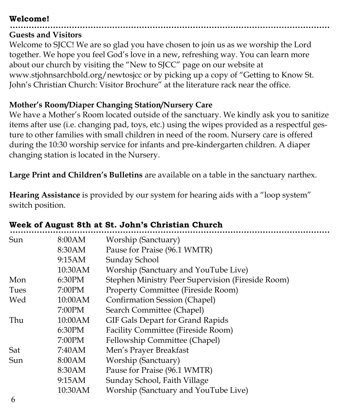#### **Welcome!**

## **Guests and Visitors**

Welcome to SJCC! We are so glad you have chosen to join us as we worship the Lord together. We hope you feel God's love in a new, refreshing way. You can learn more about our church by visiting the "New to SJCC" page on our website at www.stjohnsarchbold.org/newtosjcc or by picking up a copy of "Getting to Know St. John's Christian Church: Visitor Brochure" at the literature rack near the office.

## **Mother's Room/Diaper Changing Station/Nursery Care**

We have a Mother's Room located outside of the sanctuary. We kindly ask you to sanitize items after use (i.e. changing pad, toys, etc.) using the wipes provided as a respectful gesture to other families with small children in need of the room. Nursery care is offered during the 10:30 worship service for infants and pre-kindergarten children. A diaper changing station is located in the Nursery.

**Large Print and Children's Bulletins** are available on a table in the sanctuary narthex.

**Hearing Assistance** is provided by our system for hearing aids with a "loop system" switch position.

| Sun           | 8:00AM  | Worship (Sanctuary)                               |
|---------------|---------|---------------------------------------------------|
|               | 8:30AM  | Pause for Praise (96.1 WMTR)                      |
|               | 9:15AM  | Sunday School                                     |
|               | 10:30AM | Worship (Sanctuary and YouTube Live)              |
| Mon           | 6:30PM  | Stephen Ministry Peer Supervision (Fireside Room) |
| Tues          | 7:00PM  | <b>Property Committee (Fireside Room)</b>         |
| Wed<br>7:00PM | 10:00AM | <b>Confirmation Session (Chapel)</b>              |
|               |         | Search Committee (Chapel)                         |
| Thu           | 10:00AM | GIF Gals Depart for Grand Rapids                  |
|               | 6:30PM  | Facility Committee (Fireside Room)                |
|               | 7:00PM  | Fellowship Committee (Chapel)                     |
| Sat           | 7:40AM  | Men's Prayer Breakfast                            |
| Sun           | 8:00AM  | Worship (Sanctuary)                               |
|               | 8:30AM  | Pause for Praise (96.1 WMTR)                      |
|               | 9:15AM  | Sunday School, Faith Village                      |
|               | 10:30AM | Worship (Sanctuary and YouTube Live)              |
|               |         |                                                   |

## **Week of August 8th at St. John's Christian Church**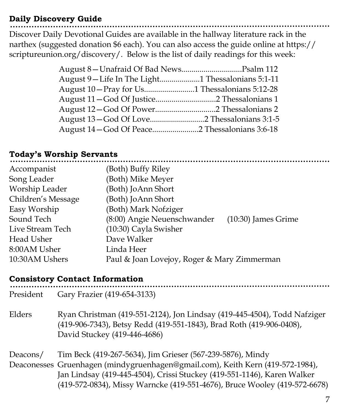#### **Daily Discovery Guide**

Discover Daily Devotional Guides are available in the hallway literature rack in the narthex (suggested donation \$6 each). You can also access the guide online at https:// scriptureunion.org/discovery/. Below is the list of daily readings for this week:

| August 9-Life In The Light1 Thessalonians 5:1-11 |  |
|--------------------------------------------------|--|
|                                                  |  |
|                                                  |  |
|                                                  |  |
|                                                  |  |
|                                                  |  |

## **Today's Worship Servants**

| Accompanist        | (Both) Buffy Riley                                   |
|--------------------|------------------------------------------------------|
| Song Leader        | (Both) Mike Meyer                                    |
| Worship Leader     | (Both) JoAnn Short                                   |
| Children's Message | (Both) JoAnn Short                                   |
| Easy Worship       | (Both) Mark Nofziger                                 |
| Sound Tech         | (8:00) Angie Neuenschwander<br>$(10:30)$ James Grime |
| Live Stream Tech   | (10:30) Cayla Swisher                                |
| Head Usher         | Dave Walker                                          |
| 8:00AM Usher       | Linda Heer                                           |
| 10:30AM Ushers     | Paul & Joan Lovejoy, Roger & Mary Zimmerman          |
|                    |                                                      |

#### **Consistory Contact Information**

| President | Gary Frazier (419-654-3133)                                                                                                                                                      |
|-----------|----------------------------------------------------------------------------------------------------------------------------------------------------------------------------------|
| Elders    | Ryan Christman (419-551-2124), Jon Lindsay (419-445-4504), Todd Nafziger<br>(419-906-7343), Betsy Redd (419-551-1843), Brad Roth (419-906-0408),<br>David Stuckey (419-446-4686) |
| Deacons/  | Tim Beck (419-267-5634), Jim Grieser (567-239-5876), Mindy                                                                                                                       |
|           | Deaconesses Gruenhagen (mindygruenhagen@gmail.com), Keith Kern (419-572-1984),                                                                                                   |
|           | Jan Lindsay (419-445-4504), Crissi Stuckey (419-551-1146), Karen Walker                                                                                                          |
|           | (419-572-0834), Missy Warncke (419-551-4676), Bruce Wooley (419-572-6678)                                                                                                        |